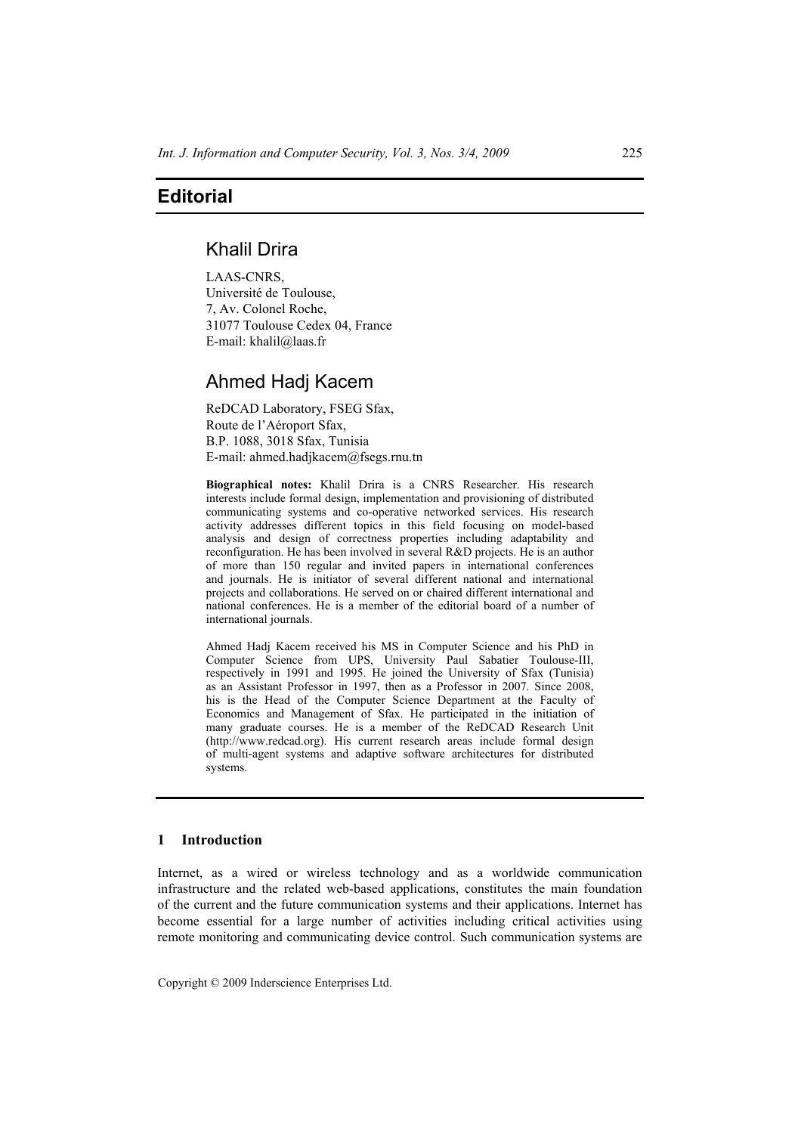## **Editorial**

# Khalil Drira

LAAS-CNRS, Université de Toulouse, 7, Av. Colonel Roche, 31077 Toulouse Cedex 04, France E-mail: khalil@laas.fr

## Ahmed Hadj Kacem

ReDCAD Laboratory, FSEG Sfax, Route de l'Aéroport Sfax, B.P. 1088, 3018 Sfax, Tunisia E-mail: ahmed.hadjkacem@fsegs.rnu.tn

**Biographical notes:** Khalil Drira is a CNRS Researcher. His research interests include formal design, implementation and provisioning of distributed communicating systems and co-operative networked services. His research activity addresses different topics in this field focusing on model-based analysis and design of correctness properties including adaptability and reconfiguration. He has been involved in several R&D projects. He is an author of more than 150 regular and invited papers in international conferences and journals. He is initiator of several different national and international projects and collaborations. He served on or chaired different international and national conferences. He is a member of the editorial board of a number of international journals.

Ahmed Hadj Kacem received his MS in Computer Science and his PhD in Computer Science from UPS, University Paul Sabatier Toulouse-III, respectively in 1991 and 1995. He joined the University of Sfax (Tunisia) as an Assistant Professor in 1997, then as a Professor in 2007. Since 2008, his is the Head of the Computer Science Department at the Faculty of Economics and Management of Sfax. He participated in the initiation of many graduate courses. He is a member of the ReDCAD Research Unit (http://www.redcad.org). His current research areas include formal design of multi-agent systems and adaptive software architectures for distributed systems.

## **1 Introduction**

Internet, as a wired or wireless technology and as a worldwide communication infrastructure and the related web-based applications, constitutes the main foundation of the current and the future communication systems and their applications. Internet has become essential for a large number of activities including critical activities using remote monitoring and communicating device control. Such communication systems are

Copyright © 2009 Inderscience Enterprises Ltd.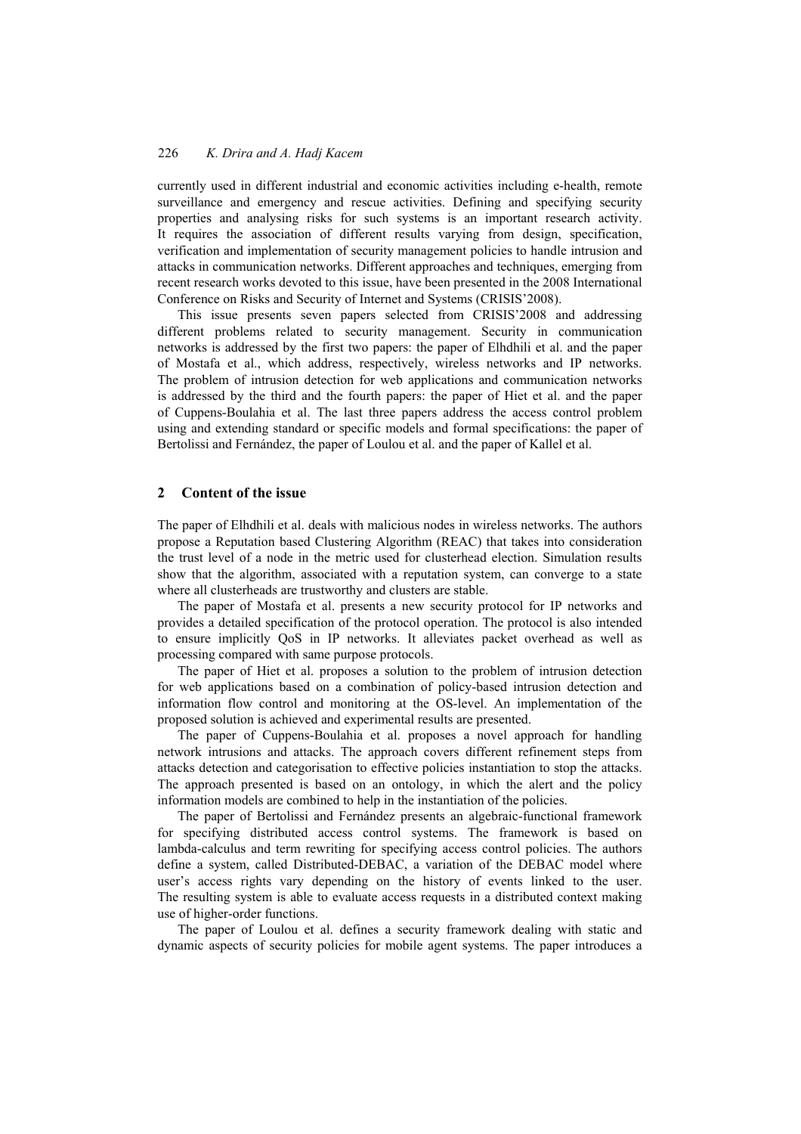### 226 *K. Drira and A. Hadj Kacem*

currently used in different industrial and economic activities including e-health, remote surveillance and emergency and rescue activities. Defining and specifying security properties and analysing risks for such systems is an important research activity. It requires the association of different results varying from design, specification, verification and implementation of security management policies to handle intrusion and attacks in communication networks. Different approaches and techniques, emerging from recent research works devoted to this issue, have been presented in the 2008 International Conference on Risks and Security of Internet and Systems (CRISIS'2008).

This issue presents seven papers selected from CRISIS'2008 and addressing different problems related to security management. Security in communication networks is addressed by the first two papers: the paper of Elhdhili et al. and the paper of Mostafa et al., which address, respectively, wireless networks and IP networks. The problem of intrusion detection for web applications and communication networks is addressed by the third and the fourth papers: the paper of Hiet et al. and the paper of Cuppens-Boulahia et al. The last three papers address the access control problem using and extending standard or specific models and formal specifications: the paper of Bertolissi and Fernández, the paper of Loulou et al. and the paper of Kallel et al.

#### **2 Content of the issue**

The paper of Elhdhili et al. deals with malicious nodes in wireless networks. The authors propose a Reputation based Clustering Algorithm (REAC) that takes into consideration the trust level of a node in the metric used for clusterhead election. Simulation results show that the algorithm, associated with a reputation system, can converge to a state where all clusterheads are trustworthy and clusters are stable.

The paper of Mostafa et al. presents a new security protocol for IP networks and provides a detailed specification of the protocol operation. The protocol is also intended to ensure implicitly QoS in IP networks. It alleviates packet overhead as well as processing compared with same purpose protocols.

The paper of Hiet et al. proposes a solution to the problem of intrusion detection for web applications based on a combination of policy-based intrusion detection and information flow control and monitoring at the OS-level. An implementation of the proposed solution is achieved and experimental results are presented.

The paper of Cuppens-Boulahia et al. proposes a novel approach for handling network intrusions and attacks. The approach covers different refinement steps from attacks detection and categorisation to effective policies instantiation to stop the attacks. The approach presented is based on an ontology, in which the alert and the policy information models are combined to help in the instantiation of the policies.

The paper of Bertolissi and Fernández presents an algebraic-functional framework for specifying distributed access control systems. The framework is based on lambda-calculus and term rewriting for specifying access control policies. The authors define a system, called Distributed-DEBAC, a variation of the DEBAC model where user's access rights vary depending on the history of events linked to the user. The resulting system is able to evaluate access requests in a distributed context making use of higher-order functions.

The paper of Loulou et al. defines a security framework dealing with static and dynamic aspects of security policies for mobile agent systems. The paper introduces a